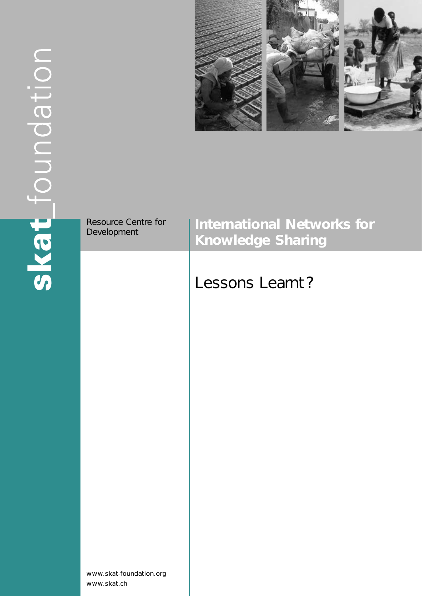

| Resource Centre for<br>Development     | <b>International Networks for</b><br><b>Knowledge Sharing</b> |
|----------------------------------------|---------------------------------------------------------------|
|                                        | Lessons Learnt?                                               |
|                                        |                                                               |
|                                        |                                                               |
|                                        |                                                               |
|                                        |                                                               |
|                                        |                                                               |
| www.skat-foundation.org<br>www.skat.ch |                                                               |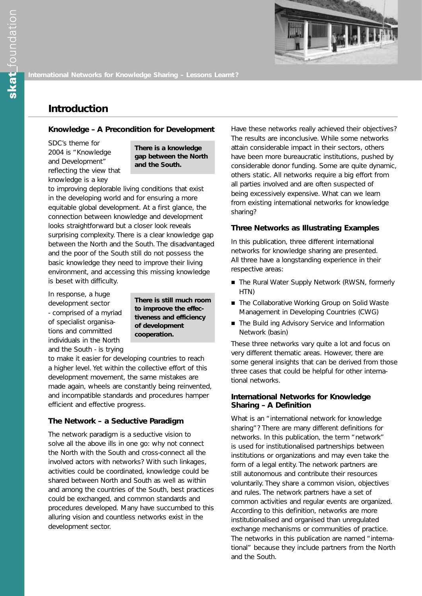

## **Introduction**

#### **Knowledge – A Precondition for Development**

SDC's theme for 2004 is "Knowledge and Development" reflecting the view that knowledge is a key

**There is a knowledge gap between the North and the South.**

to improving deplorable living conditions that exist in the developing world and for ensuring a more equitable global development. At a first glance, the connection between knowledge and development looks straightforward but a closer look reveals surprising complexity. There is a clear knowledge gap between the North and the South. The disadvantaged and the poor of the South still do not possess the basic knowledge they need to improve their living environment, and accessing this missing knowledge is beset with difficulty.

In response, a huge development sector - comprised of a myriad of specialist organisations and committed individuals in the North and the South - is trying

**There is still much room to improove the effectiveness and efficiency of development cooperation.**

to make it easier for developing countries to reach a higher level. Yet within the collective effort of this development movement, the same mistakes are made again, wheels are constantly being reinvented, and incompatible standards and procedures hamper efficient and effective progress.

#### **The Network – a Seductive Paradigm**

The network paradigm is a seductive vision to solve all the above ills in one go: why not connect the North with the South and cross-connect all the involved actors with networks? With such linkages, activities could be coordinated, knowledge could be shared between North and South as well as within and among the countries of the South, best practices could be exchanged, and common standards and procedures developed. Many have succumbed to this alluring vision and countless networks exist in the development sector.

Have these networks really achieved their objectives? The results are inconclusive. While some networks attain considerable impact in their sectors, others have been more bureaucratic institutions, pushed by considerable donor funding. Some are quite dynamic, others static. All networks require a big effort from all parties involved and are often suspected of being excessively expensive. What can we learn from existing international networks for knowledge sharing?

#### **Three Networks as Illustrating Examples**

In this publication, three different international networks for knowledge sharing are presented. All three have a longstanding experience in their respective areas:

- The Rural Water Supply Network (RWSN, formerly HTN)
- The Collaborative Working Group on Solid Waste Management in Developing Countries (CWG)
- The Build ing Advisory Service and Information Network (basin)

These three networks vary quite a lot and focus on very different thematic areas. However, there are some general insights that can be derived from those three cases that could be helpful for other international networks.

#### **International Networks for Knowledge Sharing – A Definition**

What is an "international network for knowledge sharing"? There are many different definitions for networks. In this publication, the term "network" is used for institutionalised partnerships between institutions or organizations and may even take the form of a legal entity. The network partners are still autonomous and contribute their resources voluntarily. They share a common vision, objectives and rules. The network partners have a set of common activities and regular events are organized. According to this definition, networks are more institutionalised and organised than unregulated exchange mechanisms or communities of practice. The networks in this publication are named "international" because they include partners from the North and the South.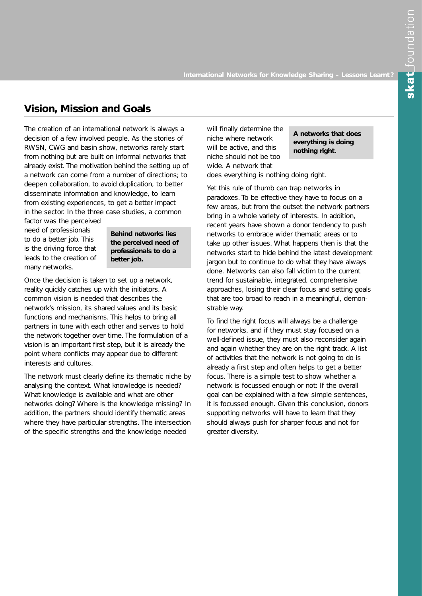# **Vision, Mission and Goals**

The creation of an international network is always a decision of a few involved people. As the stories of RWSN, CWG and basin show, networks rarely start from nothing but are built on informal networks that already exist. The motivation behind the setting up of a network can come from a number of directions; to deepen collaboration, to avoid duplication, to better disseminate information and knowledge, to learn from existing experiences, to get a better impact in the sector. In the three case studies, a common

factor was the perceived need of professionals to do a better job. This is the driving force that leads to the creation of many networks.

**Behind networks lies the perceived need of professionals to do a better job.**

Once the decision is taken to set up a network, reality quickly catches up with the initiators. A common vision is needed that describes the network's mission, its shared values and its basic functions and mechanisms. This helps to bring all partners in tune with each other and serves to hold the network together over time. The formulation of a vision is an important first step, but it is already the point where conflicts may appear due to different interests and cultures.

The network must clearly define its thematic niche by analysing the context. What knowledge is needed? What knowledge is available and what are other networks doing? Where is the knowledge missing? In addition, the partners should identify thematic areas where they have particular strengths. The intersection of the specific strengths and the knowledge needed

will finally determine the niche where network will be active, and this niche should not be too wide. A network that

**A networks that does everything is doing nothing right.**

does everything is nothing doing right.

Yet this rule of thumb can trap networks in paradoxes. To be effective they have to focus on a few areas, but from the outset the network partners bring in a whole variety of interests. In addition, recent years have shown a donor tendency to push networks to embrace wider thematic areas or to take up other issues. What happens then is that the networks start to hide behind the latest development jargon but to continue to do what they have always done. Networks can also fall victim to the current trend for sustainable, integrated, comprehensive approaches, losing their clear focus and setting goals that are too broad to reach in a meaningful, demonstrable way.

To find the right focus will always be a challenge for networks, and if they must stay focused on a well-defined issue, they must also reconsider again and again whether they are on the right track. A list of activities that the network is not going to do is already a first step and often helps to get a better focus. There is a simple test to show whether a network is focussed enough or not: If the overall goal can be explained with a few simple sentences, it is focussed enough. Given this conclusion, donors supporting networks will have to learn that they should always push for sharper focus and not for greater diversity.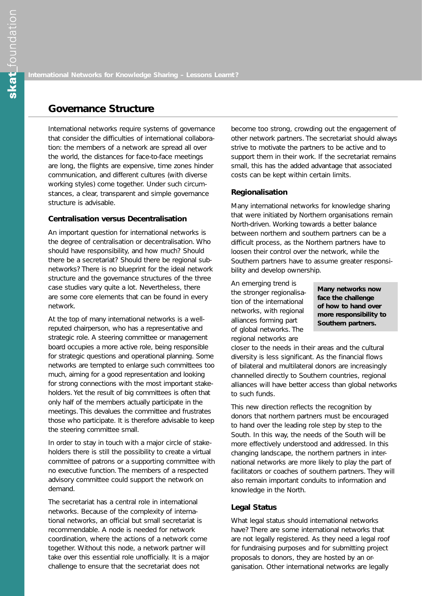## **Governance Structure**

International networks require systems of governance that consider the difficulties of international collaboration: the members of a network are spread all over the world, the distances for face-to-face meetings are long, the flights are expensive, time zones hinder communication, and different cultures (with diverse working styles) come together. Under such circumstances, a clear, transparent and simple governance structure is advisable.

## **Centralisation versus Decentralisation**

An important question for international networks is the degree of centralisation or decentralisation. Who should have responsibility, and how much? Should there be a secretariat? Should there be regional subnetworks? There is no blueprint for the ideal network structure and the governance structures of the three case studies vary quite a lot. Nevertheless, there are some core elements that can be found in every network.

At the top of many international networks is a wellreputed chairperson, who has a representative and strategic role. A steering committee or management board occupies a more active role, being responsible for strategic questions and operational planning. Some networks are tempted to enlarge such committees too much, aiming for a good representation and looking for strong connections with the most important stakeholders. Yet the result of big committees is often that only half of the members actually participate in the meetings. This devalues the committee and frustrates those who participate. It is therefore advisable to keep the steering committee small.

In order to stay in touch with a major circle of stakeholders there is still the possibility to create a virtual committee of patrons or a supporting committee with no executive function. The members of a respected advisory committee could support the network on demand.

The secretariat has a central role in international networks. Because of the complexity of international networks, an official but small secretariat is recommendable. A node is needed for network coordination, where the actions of a network come together. Without this node, a network partner will take over this essential role unofficially. It is a major challenge to ensure that the secretariat does not

become too strong, crowding out the engagement of other network partners. The secretariat should always strive to motivate the partners to be active and to support them in their work. If the secretariat remains small, this has the added advantage that associated costs can be kept within certain limits.

#### **Regionalisation**

Many international networks for knowledge sharing that were initiated by Northern organisations remain North-driven. Working towards a better balance between northern and southern partners can be a difficult process, as the Northern partners have to loosen their control over the network, while the Southern partners have to assume greater responsibility and develop ownership.

An emerging trend is the stronger regionalisation of the international networks, with regional alliances forming part of global networks. The regional networks are

**Many networks now face the challenge of how to hand over more responsibility to Southern partners.**

closer to the needs in their areas and the cultural diversity is less significant. As the financial flows of bilateral and multilateral donors are increasingly channelled directly to Southern countries, regional alliances will have better access than global networks to such funds.

This new direction reflects the recognition by donors that northern partners must be encouraged to hand over the leading role step by step to the South. In this way, the needs of the South will be more effectively understood and addressed. In this changing landscape, the northern partners in international networks are more likely to play the part of facilitators or coaches of southern partners. They will also remain important conduits to information and knowledge in the North.

#### **Legal Status**

What legal status should international networks have? There are some international networks that are not legally registered. As they need a legal roof for fundraising purposes and for submitting project proposals to donors, they are hosted by an organisation. Other international networks are legally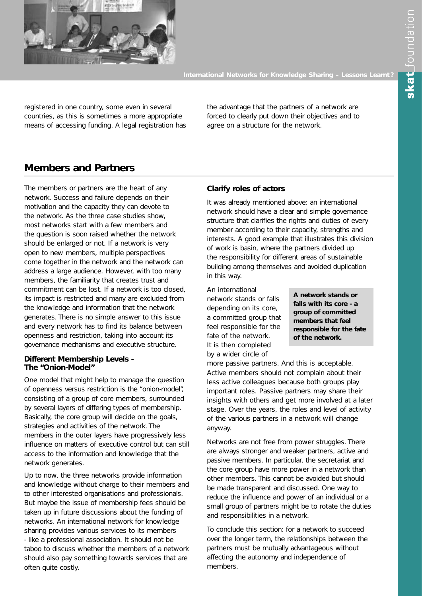

registered in one country, some even in several countries, as this is sometimes a more appropriate means of accessing funding. A legal registration has the advantage that the partners of a network are forced to clearly put down their objectives and to agree on a structure for the network.

# **Members and Partners**

The members or partners are the heart of any network. Success and failure depends on their motivation and the capacity they can devote to the network. As the three case studies show, most networks start with a few members and the question is soon raised whether the network should be enlarged or not. If a network is very open to new members, multiple perspectives come together in the network and the network can address a large audience. However, with too many members, the familiarity that creates trust and commitment can be lost. If a network is too closed, its impact is restricted and many are excluded from the knowledge and information that the network generates. There is no simple answer to this issue and every network has to find its balance between openness and restriction, taking into account its governance mechanisms and executive structure.

## **Different Membership Levels - The "Onion-Model"**

One model that might help to manage the question of openness versus restriction is the "onion-model", consisting of a group of core members, surrounded by several layers of differing types of membership. Basically, the core group will decide on the goals, strategies and activities of the network. The members in the outer layers have progressively less influence on matters of executive control but can still access to the information and knowledge that the network generates.

Up to now, the three networks provide information and knowledge without charge to their members and to other interested organisations and professionals. But maybe the issue of membership fees should be taken up in future discussions about the funding of networks. An international network for knowledge sharing provides various services to its members - like a professional association. It should not be taboo to discuss whether the members of a network should also pay something towards services that are often quite costly.

## **Clarify roles of actors**

It was already mentioned above: an international network should have a clear and simple governance structure that clarifies the rights and duties of every member according to their capacity, strengths and interests. A good example that illustrates this division of work is basin, where the partners divided up the responsibility for different areas of sustainable building among themselves and avoided duplication in this way.

An international network stands or falls depending on its core, a committed group that feel responsible for the fate of the network. It is then completed by a wider circle of

**A network stands or falls with its core - a group of committed members that feel responsible for the fate of the network.**

more passive partners. And this is acceptable. Active members should not complain about their less active colleagues because both groups play important roles. Passive partners may share their insights with others and get more involved at a later stage. Over the years, the roles and level of activity of the various partners in a network will change anyway.

Networks are not free from power struggles. There are always stronger and weaker partners, active and passive members. In particular, the secretariat and the core group have more power in a network than other members. This cannot be avoided but should be made transparent and discussed. One way to reduce the influence and power of an individual or a small group of partners might be to rotate the duties and responsibilities in a network.

To conclude this section: for a network to succeed over the longer term, the relationships between the partners must be mutually advantageous without affecting the autonomy and independence of members.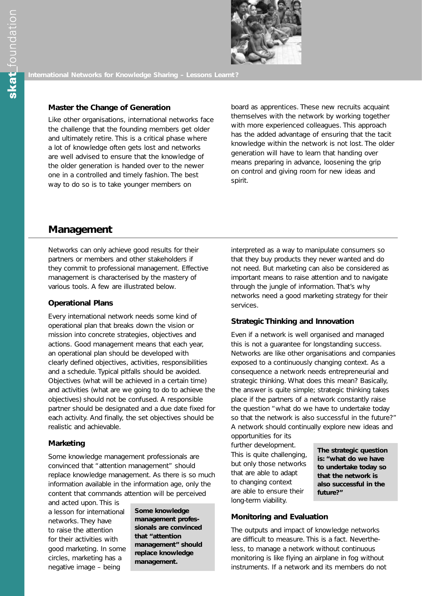

## **Master the Change of Generation**

Like other organisations, international networks face the challenge that the founding members get older and ultimately retire. This is a critical phase where a lot of knowledge often gets lost and networks are well advised to ensure that the knowledge of the older generation is handed over to the newer one in a controlled and timely fashion. The best way to do so is to take younger members on

board as apprentices. These new recruits acquaint themselves with the network by working together with more experienced colleagues. This approach has the added advantage of ensuring that the tacit knowledge within the network is not lost. The older generation will have to learn that handing over means preparing in advance, loosening the grip on control and giving room for new ideas and spirit.

## **Management**

Networks can only achieve good results for their partners or members and other stakeholders if they commit to professional management. Effective management is characterised by the mastery of various tools. A few are illustrated below.

## **Operational Plans**

Every international network needs some kind of operational plan that breaks down the vision or mission into concrete strategies, objectives and actions. Good management means that each year, an operational plan should be developed with clearly defined objectives, activities, responsibilities and a schedule. Typical pitfalls should be avoided. Objectives (what will be achieved in a certain time) and activities (what are we going to do to achieve the objectives) should not be confused. A responsible partner should be designated and a due date fixed for each activity. And finally, the set objectives should be realistic and achievable.

#### **Marketing**

Some knowledge management professionals are convinced that "attention management" should replace knowledge management. As there is so much information available in the information age, only the content that commands attention will be perceived

and acted upon. This is a lesson for international networks. They have to raise the attention for their activities with good marketing. In some circles, marketing has a negative image – being

**Some knowledge management professionals are convinced that "attention management" should replace knowledge management.**

interpreted as a way to manipulate consumers so that they buy products they never wanted and do not need. But marketing can also be considered as important means to raise attention and to navigate through the jungle of information. That's why networks need a good marketing strategy for their services.

## **Strategic Thinking and Innovation**

Even if a network is well organised and managed this is not a guarantee for longstanding success. Networks are like other organisations and companies exposed to a continuously changing context. As a consequence a network needs entrepreneurial and strategic thinking. What does this mean? Basically, the answer is quite simple; strategic thinking takes place if the partners of a network constantly raise the question "what do we have to undertake today so that the network is also successful in the future?" A network should continually explore new ideas and

opportunities for its further development. This is quite challenging, but only those networks that are able to adapt to changing context are able to ensure their long-term viability.

**The strategic question is: "what do we have to undertake today so that the network is also successful in the future?"**

## **Monitoring and Evaluation**

The outputs and impact of knowledge networks are difficult to measure. This is a fact. Nevertheless, to manage a network without continuous monitoring is like flying an airplane in fog without instruments. If a network and its members do not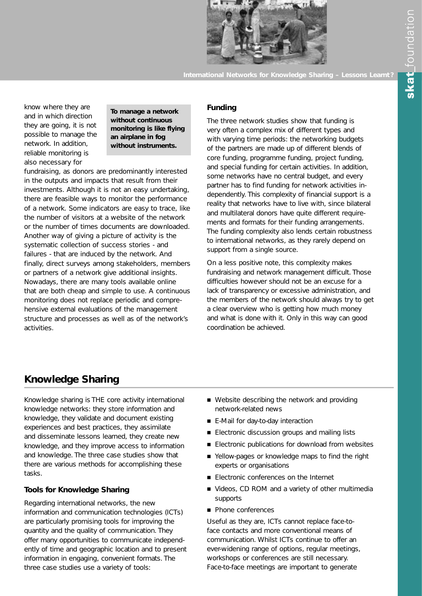

know where they are and in which direction they are going, it is not possible to manage the network. In addition, reliable monitoring is also necessary for

**To manage a network without continuous monitoring is like flying an airplane in fog without instruments.**

fundraising, as donors are predominantly interested in the outputs and impacts that result from their investments. Although it is not an easy undertaking, there are feasible ways to monitor the performance of a network. Some indicators are easy to trace, like the number of visitors at a website of the network or the number of times documents are downloaded. Another way of giving a picture of activity is the systematic collection of success stories - and failures - that are induced by the network. And finally, direct surveys among stakeholders, members or partners of a network give additional insights. Nowadays, there are many tools available online that are both cheap and simple to use. A continuous monitoring does not replace periodic and comprehensive external evaluations of the management structure and processes as well as of the network's activities.

## **Funding**

The three network studies show that funding is very often a complex mix of different types and with varying time periods: the networking budgets of the partners are made up of different blends of core funding, programme funding, project funding, and special funding for certain activities. In addition, some networks have no central budget, and every partner has to find funding for network activities independently. This complexity of financial support is a reality that networks have to live with, since bilateral and multilateral donors have quite different requirements and formats for their funding arrangements. The funding complexity also lends certain robustness to international networks, as they rarely depend on support from a single source.

On a less positive note, this complexity makes fundraising and network management difficult. Those difficulties however should not be an excuse for a lack of transparency or excessive administration, and the members of the network should always try to get a clear overview who is getting how much money and what is done with it. Only in this way can good coordination be achieved.

## **Knowledge Sharing**

Knowledge sharing is THE core activity international knowledge networks: they store information and knowledge, they validate and document existing experiences and best practices, they assimilate and disseminate lessons learned, they create new knowledge, and they improve access to information and knowledge. The three case studies show that there are various methods for accomplishing these tasks.

## **Tools for Knowledge Sharing**

Regarding international networks, the new information and communication technologies (ICTs) are particularly promising tools for improving the quantity and the quality of communication. They offer many opportunities to communicate independently of time and geographic location and to present information in engaging, convenient formats. The three case studies use a variety of tools:

- $\blacksquare$  Website describing the network and providing network-related news
- E-Mail for day-to-day interaction
- Electronic discussion groups and mailing lists
- Electronic publications for download from websites
- Yellow-pages or knowledge maps to find the right experts or organisations
- Electronic conferences on the Internet
- Videos, CD ROM and a variety of other multimedia supports
- Phone conferences

Useful as they are, ICTs cannot replace face-toface contacts and more conventional means of communication. Whilst ICTs continue to offer an ever-widening range of options, regular meetings, workshops or conferences are still necessary. Face-to-face meetings are important to generate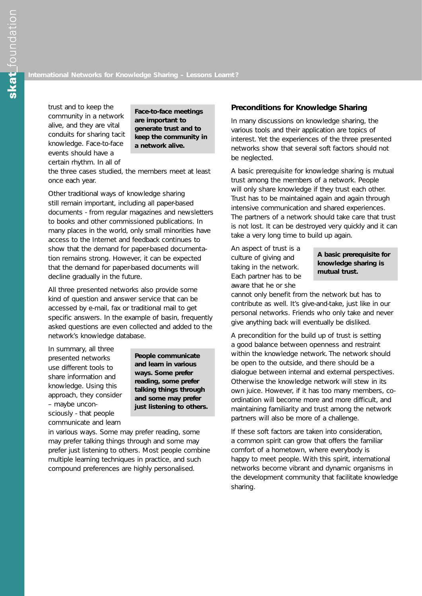trust and to keep the community in a network alive, and they are vital conduits for sharing tacit knowledge. Face-to-face events should have a certain rhythm. In all of

**Face-to-face meetings are important to generate trust and to keep the community in a network alive.**

the three cases studied, the members meet at least once each year.

Other traditional ways of knowledge sharing still remain important, including all paper-based documents - from regular magazines and newsletters to books and other commissioned publications. In many places in the world, only small minorities have access to the Internet and feedback continues to show that the demand for paper-based documentation remains strong. However, it can be expected that the demand for paper-based documents will decline gradually in the future.

All three presented networks also provide some kind of question and answer service that can be accessed by e-mail, fax or traditional mail to get specific answers. In the example of basin, frequently asked questions are even collected and added to the network's knowledge database.

In summary, all three presented networks use different tools to share information and knowledge. Using this approach, they consider – maybe unconsciously - that people communicate and learn

**People communicate and learn in various ways. Some prefer reading, some prefer talking things through and some may prefer just listening to others.**

in various ways. Some may prefer reading, some may prefer talking things through and some may prefer just listening to others. Most people combine multiple learning techniques in practice, and such compound preferences are highly personalised.

#### **Preconditions for Knowledge Sharing**

In many discussions on knowledge sharing, the various tools and their application are topics of interest. Yet the experiences of the three presented networks show that several soft factors should not be neglected.

A basic prerequisite for knowledge sharing is mutual trust among the members of a network. People will only share knowledge if they trust each other. Trust has to be maintained again and again through intensive communication and shared experiences. The partners of a network should take care that trust is not lost. It can be destroyed very quickly and it can take a very long time to build up again.

An aspect of trust is a culture of giving and taking in the network. Each partner has to be aware that he or she

#### **A basic prerequisite for knowledge sharing is mutual trust.**

cannot only benefit from the network but has to contribute as well. It's give-and-take, just like in our personal networks. Friends who only take and never give anything back will eventually be disliked.

A precondition for the build up of trust is setting a good balance between openness and restraint within the knowledge network. The network should be open to the outside, and there should be a dialogue between internal and external perspectives. Otherwise the knowledge network will stew in its own juice. However, if it has too many members, coordination will become more and more difficult, and maintaining familiarity and trust among the network partners will also be more of a challenge.

If these soft factors are taken into consideration, a common spirit can grow that offers the familiar comfort of a hometown, where everybody is happy to meet people. With this spirit, international networks become vibrant and dynamic organisms in the development community that facilitate knowledge sharing.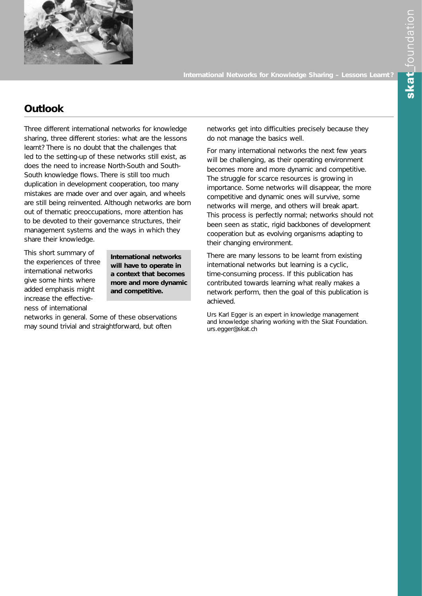

# **Outlook**

Three different international networks for knowledge sharing, three different stories: what are the lessons learnt? There is no doubt that the challenges that led to the setting-up of these networks still exist, as does the need to increase North-South and South-South knowledge flows. There is still too much duplication in development cooperation, too many mistakes are made over and over again, and wheels are still being reinvented. Although networks are born out of thematic preoccupations, more attention has to be devoted to their governance structures, their management systems and the ways in which they share their knowledge.

This short summary of the experiences of three international networks give some hints where added emphasis might increase the effectiveness of international

**International networks will have to operate in a context that becomes more and more dynamic and competitive.**

networks in general. Some of these observations may sound trivial and straightforward, but often

networks get into difficulties precisely because they do not manage the basics well.

For many international networks the next few years will be challenging, as their operating environment becomes more and more dynamic and competitive. The struggle for scarce resources is growing in importance. Some networks will disappear, the more competitive and dynamic ones will survive, some networks will merge, and others will break apart. This process is perfectly normal; networks should not been seen as static, rigid backbones of development cooperation but as evolving organisms adapting to their changing environment.

There are many lessons to be learnt from existing international networks but learning is a cyclic, time-consuming process. If this publication has contributed towards learning what really makes a network perform, then the goal of this publication is achieved.

Urs Karl Egger is an expert in knowledge management and knowledge sharing working with the Skat Foundation. urs.egger@skat.ch